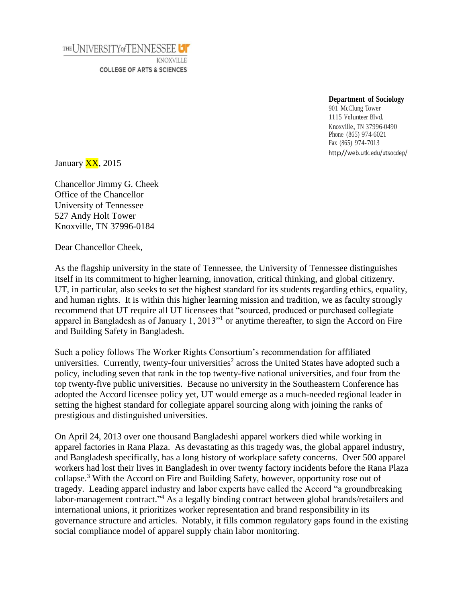THE UNIVERSITY of TENNESSEE

KNOXVILLE **COLLEGE OF ARTS & SCIENCES** 

## **Department of Sociology**

901 McClung Tower 1115 Volunteer Blvd. Knoxville, TN 37996-0490 Phone (865) 974-6021 Fax (865) 974-7013 http//web.utk.edu/utsocdep/

January  $\overline{XX}$ , 2015

Chancellor Jimmy G. Cheek Office of the Chancellor University of Tennessee 527 Andy Holt Tower Knoxville, TN 37996-0184

Dear Chancellor Cheek,

As the flagship university in the state of Tennessee, the University of Tennessee distinguishes itself in its commitment to higher learning, innovation, critical thinking, and global citizenry. UT, in particular, also seeks to set the highest standard for its students regarding ethics, equality, and human rights. It is within this higher learning mission and tradition, we as faculty strongly recommend that UT require all UT licensees that "sourced, produced or purchased collegiate apparel in Bangladesh as of January 1, 2013<sup>"1</sup> or anytime thereafter, to sign the Accord on Fire and Building Safety in Bangladesh.

Such a policy follows The Worker Rights Consortium's recommendation for affiliated universities. Currently, twenty-four universities<sup>2</sup> across the United States have adopted such a policy, including seven that rank in the top twenty-five national universities, and four from the top twenty-five public universities. Because no university in the Southeastern Conference has adopted the Accord licensee policy yet, UT would emerge as a much-needed regional leader in setting the highest standard for collegiate apparel sourcing along with joining the ranks of prestigious and distinguished universities.

On April 24, 2013 over one thousand Bangladeshi apparel workers died while working in apparel factories in Rana Plaza. As devastating as this tragedy was, the global apparel industry, and Bangladesh specifically, has a long history of workplace safety concerns. Over 500 apparel workers had lost their lives in Bangladesh in over twenty factory incidents before the Rana Plaza collapse.<sup>3</sup> With the Accord on Fire and Building Safety, however, opportunity rose out of tragedy. Leading apparel industry and labor experts have called the Accord "a groundbreaking labor-management contract."<sup>4</sup> As a legally binding contract between global brands/retailers and international unions, it prioritizes worker representation and brand responsibility in its governance structure and articles. Notably, it fills common regulatory gaps found in the existing social compliance model of apparel supply chain labor monitoring.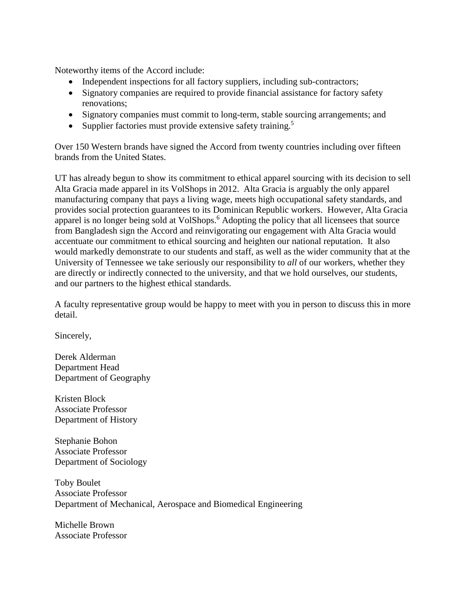Noteworthy items of the Accord include:

- Independent inspections for all factory suppliers, including sub-contractors;
- Signatory companies are required to provide financial assistance for factory safety renovations;
- Signatory companies must commit to long-term, stable sourcing arrangements; and
- Supplier factories must provide extensive safety training.<sup>5</sup>

Over 150 Western brands have signed the Accord from twenty countries including over fifteen brands from the United States.

UT has already begun to show its commitment to ethical apparel sourcing with its decision to sell Alta Gracia made apparel in its VolShops in 2012. Alta Gracia is arguably the only apparel manufacturing company that pays a living wage, meets high occupational safety standards, and provides social protection guarantees to its Dominican Republic workers. However, Alta Gracia apparel is no longer being sold at VolShops.<sup>6</sup> Adopting the policy that all licensees that source from Bangladesh sign the Accord and reinvigorating our engagement with Alta Gracia would accentuate our commitment to ethical sourcing and heighten our national reputation. It also would markedly demonstrate to our students and staff, as well as the wider community that at the University of Tennessee we take seriously our responsibility to *all* of our workers, whether they are directly or indirectly connected to the university, and that we hold ourselves, our students, and our partners to the highest ethical standards.

A faculty representative group would be happy to meet with you in person to discuss this in more detail.

Sincerely,

Derek Alderman Department Head Department of Geography

Kristen Block Associate Professor Department of History

Stephanie Bohon Associate Professor Department of Sociology

Toby Boulet Associate Professor Department of Mechanical, Aerospace and Biomedical Engineering

Michelle Brown Associate Professor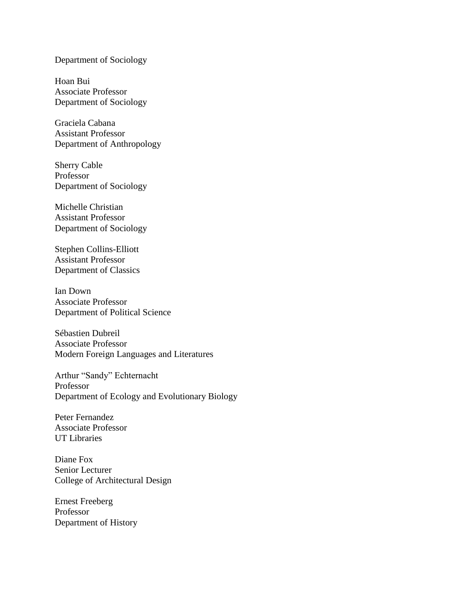## Department of Sociology

Hoan Bui Associate Professor Department of Sociology

Graciela Cabana Assistant Professor Department of Anthropology

Sherry Cable Professor Department of Sociology

Michelle Christian Assistant Professor Department of Sociology

Stephen Collins-Elliott Assistant Professor Department of Classics

Ian Down Associate Professor Department of Political Science

Sébastien Dubreil Associate Professor Modern Foreign Languages and Literatures

Arthur "Sandy" Echternacht Professor Department of Ecology and Evolutionary Biology

Peter Fernandez Associate Professor UT Libraries

Diane Fox Senior Lecturer College of Architectural Design

Ernest Freeberg Professor Department of History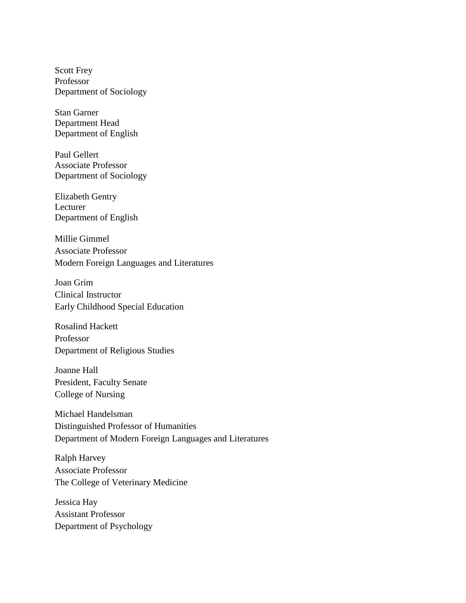Scott Frey Professor Department of Sociology

Stan Garner Department Head Department of English

Paul Gellert Associate Professor Department of Sociology

Elizabeth Gentry Lecturer Department of English

Millie Gimmel Associate Professor Modern Foreign Languages and Literatures

Joan Grim Clinical Instructor Early Childhood Special Education

Rosalind Hackett Professor Department of Religious Studies

Joanne Hall President, Faculty Senate College of Nursing

Michael Handelsman Distinguished Professor of Humanities Department of Modern Foreign Languages and Literatures

Ralph Harvey Associate Professor The College of Veterinary Medicine

Jessica Hay Assistant Professor Department of Psychology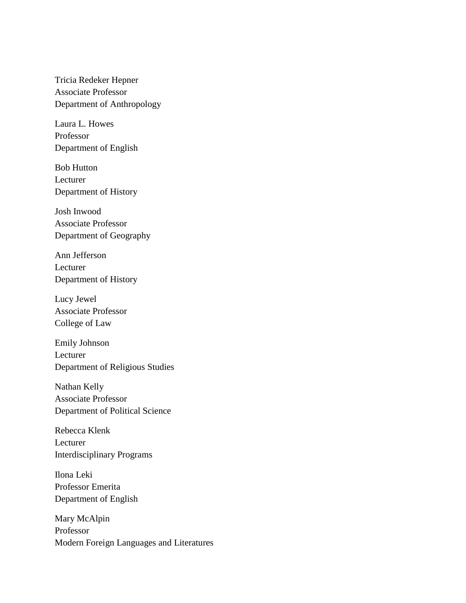Tricia Redeker Hepner Associate Professor Department of Anthropology

Laura L. Howes Professor Department of English

Bob Hutton Lecturer Department of History

Josh Inwood Associate Professor Department of Geography

Ann Jefferson Lecturer Department of History

Lucy Jewel Associate Professor College of Law

Emily Johnson Lecturer Department of Religious Studies

Nathan Kelly Associate Professor Department of Political Science

Rebecca Klenk Lecturer Interdisciplinary Programs

Ilona Leki Professor Emerita Department of English

Mary McAlpin Professor Modern Foreign Languages and Literatures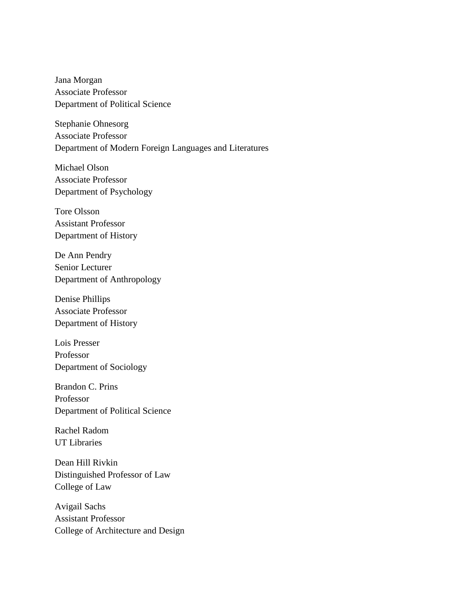Jana Morgan Associate Professor Department of Political Science

Stephanie Ohnesorg Associate Professor Department of Modern Foreign Languages and Literatures

Michael Olson Associate Professor Department of Psychology

Tore Olsson Assistant Professor Department of History

De Ann Pendry Senior Lecturer Department of Anthropology

Denise Phillips Associate Professor Department of History

Lois Presser Professor Department of Sociology

Brandon C. Prins Professor Department of Political Science

Rachel Radom UT Libraries

Dean Hill Rivkin Distinguished Professor of Law College of Law

Avigail Sachs Assistant Professor College of Architecture and Design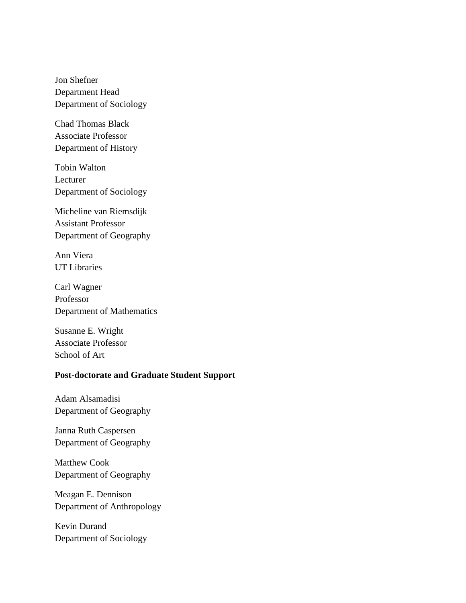Jon Shefner Department Head Department of Sociology

Chad Thomas Black Associate Professor Department of History

Tobin Walton Lecturer Department of Sociology

Micheline van Riemsdijk Assistant Professor Department of Geography

Ann Viera UT Libraries

Carl Wagner Professor Department of Mathematics

Susanne E. Wright Associate Professor School of Art

## **Post-doctorate and Graduate Student Support**

Adam Alsamadisi Department of Geography

Janna Ruth Caspersen Department of Geography

Matthew Cook Department of Geography

Meagan E. Dennison Department of Anthropology

Kevin Durand Department of Sociology